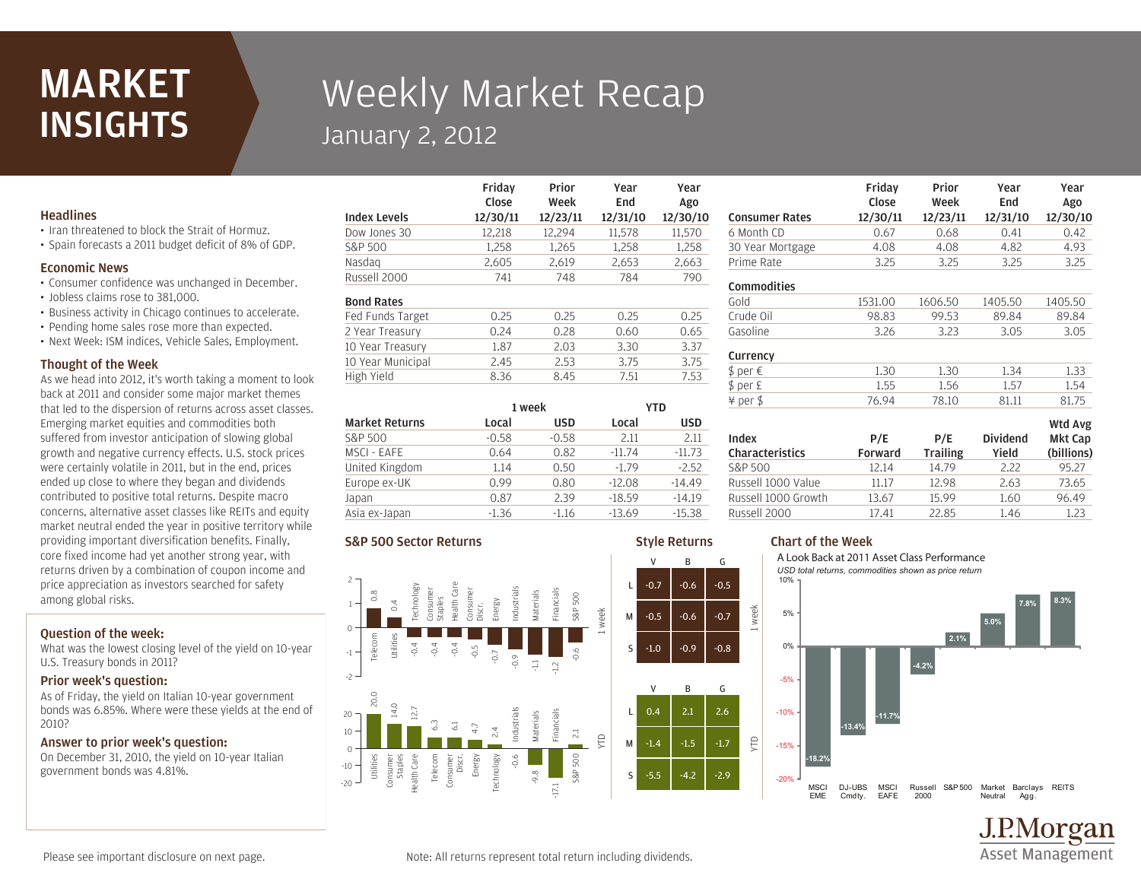# MARKET **INSIGHTS**

# Weekly Market Recap January 2, 2012

Friday

### **Headlines**

- Iran threatened to block the Strait of Hormuz.
- Spain forecasts a 2011 budget deficit of 8% of GDP.

#### Economic News

- Consumer confidence was unchanged in December.
- Jobless claims rose to 381,000.
- Business activity in Chicago continues to accelerate.
- Pending home sales rose more than expected.
- Next Week: ISM indices, Vehicle Sales, Employment.

#### Thought of the Week

As we head into 2012, it's worth taking a moment to look back at 2011 and consider some major market themes that led to the dispersion of returns across asset classes. Emerging market equities and commodities both suffered from investor anticipation of slowing global growth and negative currency effects. U.S. stock prices were certainly volatile in 2011, but in the end, prices ended up close to where they began and dividends contributed to positive total returns. Despite macro concerns, alternative asset classes like REITs and equity market neutral ended the year in positive territory while providing important diversification benefits. Finally, core fixed income had yet another strong year, with returns driven by a combination of coupon income and price appreciation as investors searched for safety among global risks.

## Question of the week:

What was the lowest closing level of the yield on 10-year U.S. Treasury bonds in 2011?

#### Prior week's question:

As of Friday, the yield on Italian 10-year government bonds was 6.85%. Where were these yields at the end of 2010?

#### Answer to prior week's question:

On December 31, 2010, the yield on 10-year Italian government bonds was 4.81%.

|                     | Close    | Week     | End      | Ago      |
|---------------------|----------|----------|----------|----------|
| <b>Index Levels</b> | 12/30/11 | 12/23/11 | 12/31/10 | 12/30/10 |
| Dow Jones 30        | 12,218   | 12,294   | 11,578   | 11,570   |
| S&P 500             | 1,258    | 1,265    | 1.258    | 1,258    |
| Nasdag              | 2,605    | 2,619    | 2,653    | 2,663    |
| Russell 2000        | 741      | 748      | 784      | 790      |
| <b>Bond Rates</b>   |          |          |          |          |
| Fed Funds Target    | 0.25     | 0.25     | 0.25     | 0.25     |
| 2 Year Treasury     | 0.24     | 0.28     | 0.60     | 0.65     |
| 10 Year Treasury    | 1.87     | 2.03     | 3.30     | 3.37     |
| 10 Year Municipal   | 2.45     | 2.53     | 3.75     | 3.75     |
| High Yield          | 8.36     | 8.45     | 7.51     | 7.53     |
|                     |          |          |          |          |

Prior

Year

Year

Commodities

Currency

Index Characteristics

|                       | 1 week  |            | YTD      |            |
|-----------------------|---------|------------|----------|------------|
| <b>Market Returns</b> | Local   | <b>USD</b> | Local    | <b>USD</b> |
| S&P 500               | $-0.58$ | $-0.58$    | 2.11     | 2.11       |
| MSCI - EAFE           | 0.64    | 0.82       | $-11.74$ | $-11.73$   |
| United Kingdom        | 1.14    | 0.50       | $-1.79$  | $-2.52$    |
| Europe ex-UK          | 0.99    | 0.80       | $-12.08$ | $-14.49$   |
| Japan                 | 0.87    | 2.39       | $-18.59$ | $-14.19$   |
| Asia ex-Japan         | $-1.36$ | $-1.16$    | $-13.69$ | $-15.38$   |

#### S&P 500 Sector Returns



#### Russell 2000 17.41 22.85 1.46 1.23 Russell 1000 Growth 13.67 15.99 1.60 96.49 Russell 1000 Value 11.17 12.98 2.63 73.65

Style Returns

V B G

V B G

# Chart of the Week



Prime Rate 3.25 3.25 3.25 3.25 30 Year Mortgage 4.08 4.08 4.82 4.93 6 Month CD 0.67 0.68 0.41 0.42 Consumer Rates 12/30/11 12/23/11 12/31/10 12/30/10

Gasoline 3.26 3.23 3.05 3.05 Crude Oil 98.83 99.53 89.84 89.84 Gold 1531.00 1606.50 1405.50 1405.50

¥ per \$ 76.94 78.10 81.11 81.75  $$ per E$  1.55 1.56 1.57 1.54  $$ per \in 1.30$  1.30 1.34 1.33

S&P 500 12.14 14.79 2.22 95.27

P/E Forward

P/E **Trailing** 

Prior Week Year End

Dividend Yield

Year Ago

Wtd Avg Mkt Cap (billions)

Friday Close



Please see important disclosure on next page.